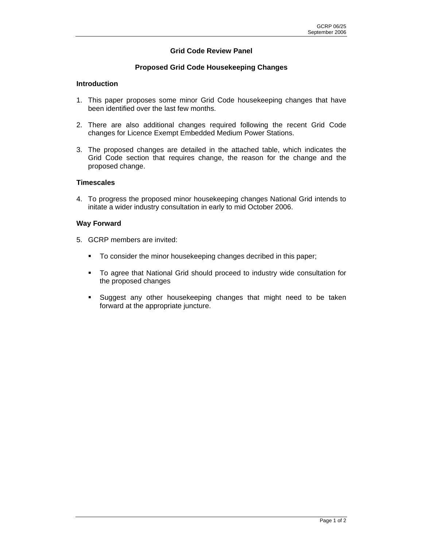## **Grid Code Review Panel**

### **Proposed Grid Code Housekeeping Changes**

#### **Introduction**

- 1. This paper proposes some minor Grid Code housekeeping changes that have been identified over the last few months.
- 2. There are also additional changes required following the recent Grid Code changes for Licence Exempt Embedded Medium Power Stations.
- 3. The proposed changes are detailed in the attached table, which indicates the Grid Code section that requires change, the reason for the change and the proposed change.

#### **Timescales**

4. To progress the proposed minor housekeeping changes National Grid intends to initate a wider industry consultation in early to mid October 2006.

#### **Way Forward**

- 5. GCRP members are invited:
	- To consider the minor housekeeping changes decribed in this paper;
	- To agree that National Grid should proceed to industry wide consultation for the proposed changes
	- Suggest any other housekeeping changes that might need to be taken forward at the appropriate juncture.